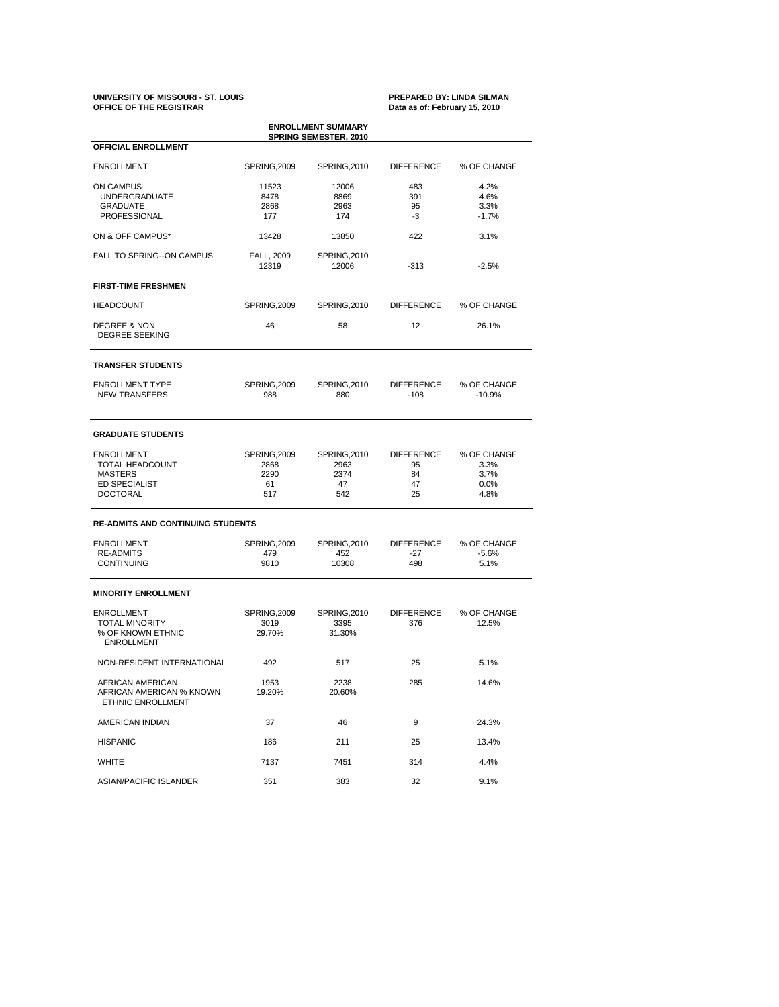# **UNIVERSITY OF MISSOURI - ST. LOUIS PREPARED BY: LINDA SILMAN OFFICE OF THE REGISTRAR Data as of: February 15, 2010**

| <b>ENROLLMENT SUMMARY</b><br><b>SPRING SEMESTER, 2010</b>                                                |                                           |                                                  |                                           |                                             |  |  |  |  |  |
|----------------------------------------------------------------------------------------------------------|-------------------------------------------|--------------------------------------------------|-------------------------------------------|---------------------------------------------|--|--|--|--|--|
| <b>OFFICIAL ENROLLMENT</b>                                                                               |                                           |                                                  |                                           |                                             |  |  |  |  |  |
| <b>ENROLLMENT</b>                                                                                        | SPRING, 2009                              | <b>SPRING, 2010</b>                              | <b>DIFFERENCE</b>                         | % OF CHANGE                                 |  |  |  |  |  |
| ON CAMPUS<br><b>UNDERGRADUATE</b><br><b>GRADUATE</b><br>PROFESSIONAL                                     | 11523<br>8478<br>2868<br>177              | 12006<br>8869<br>2963<br>174                     | 483<br>391<br>95<br>$-3$                  | 4.2%<br>4.6%<br>3.3%<br>$-1.7%$             |  |  |  |  |  |
| ON & OFF CAMPUS*                                                                                         | 13428                                     | 422<br>13850                                     |                                           | 3.1%                                        |  |  |  |  |  |
| <b>FALL TO SPRING--ON CAMPUS</b>                                                                         | FALL, 2009<br>12319                       | <b>SPRING, 2010</b><br>12006                     | $-313$                                    | $-2.5%$                                     |  |  |  |  |  |
| <b>FIRST-TIME FRESHMEN</b>                                                                               |                                           |                                                  |                                           |                                             |  |  |  |  |  |
| <b>HEADCOUNT</b>                                                                                         | SPRING, 2009                              | <b>SPRING, 2010</b>                              | <b>DIFFERENCE</b>                         | % OF CHANGE                                 |  |  |  |  |  |
| <b>DEGREE &amp; NON</b><br><b>DEGREE SEEKING</b>                                                         | 46                                        | 58                                               | 12                                        | 26.1%                                       |  |  |  |  |  |
| <b>TRANSFER STUDENTS</b>                                                                                 |                                           |                                                  |                                           |                                             |  |  |  |  |  |
| <b>ENROLLMENT TYPE</b><br><b>NEW TRANSFERS</b>                                                           | SPRING, 2009<br>988                       | <b>SPRING, 2010</b><br>880                       | <b>DIFFERENCE</b><br>-108                 | % OF CHANGE<br>$-10.9%$                     |  |  |  |  |  |
| <b>GRADUATE STUDENTS</b>                                                                                 |                                           |                                                  |                                           |                                             |  |  |  |  |  |
| <b>ENROLLMENT</b><br><b>TOTAL HEADCOUNT</b><br><b>MASTERS</b><br><b>ED SPECIALIST</b><br><b>DOCTORAL</b> | SPRING, 2009<br>2868<br>2290<br>61<br>517 | <b>SPRING, 2010</b><br>2963<br>2374<br>47<br>542 | <b>DIFFERENCE</b><br>95<br>84<br>47<br>25 | % OF CHANGE<br>3.3%<br>3.7%<br>0.0%<br>4.8% |  |  |  |  |  |
| <b>RE-ADMITS AND CONTINUING STUDENTS</b>                                                                 |                                           |                                                  |                                           |                                             |  |  |  |  |  |
| <b>ENROLLMENT</b><br><b>RE-ADMITS</b><br><b>CONTINUING</b>                                               | SPRING, 2009<br>479<br>9810               | SPRING, 2010<br>452<br>10308                     | <b>DIFFERENCE</b><br>-27<br>498           | % OF CHANGE<br>$-5.6%$<br>5.1%              |  |  |  |  |  |
| <b>MINORITY ENROLLMENT</b>                                                                               |                                           |                                                  |                                           |                                             |  |  |  |  |  |
| <b>ENROLLMENT</b><br><b>TOTAL MINORITY</b><br>% OF KNOWN ETHNIC<br><b>ENROLLMENT</b>                     | SPRING, 2009<br>3019<br>29.70%            | <b>SPRING, 2010</b><br>3395<br>31.30%            | <b>DIFFERENCE</b><br>376                  | % OF CHANGE<br>12.5%                        |  |  |  |  |  |
| NON-RESIDENT INTERNATIONAL                                                                               | 492                                       | 517                                              | 25                                        | 5.1%                                        |  |  |  |  |  |
| AFRICAN AMERICAN<br>AFRICAN AMERICAN % KNOWN<br>ETHNIC ENROLLMENT                                        | 1953<br>19.20%                            | 2238<br>20.60%                                   | 285                                       | 14.6%                                       |  |  |  |  |  |
| AMERICAN INDIAN                                                                                          | 37                                        | 46                                               | 9                                         | 24.3%                                       |  |  |  |  |  |
| <b>HISPANIC</b>                                                                                          | 186                                       | 211                                              | 25                                        | 13.4%                                       |  |  |  |  |  |
| <b>WHITE</b>                                                                                             | 7137                                      | 7451                                             | 314                                       | 4.4%                                        |  |  |  |  |  |
| ASIAN/PACIFIC ISLANDER                                                                                   | 351                                       | 383                                              | 32                                        | 9.1%                                        |  |  |  |  |  |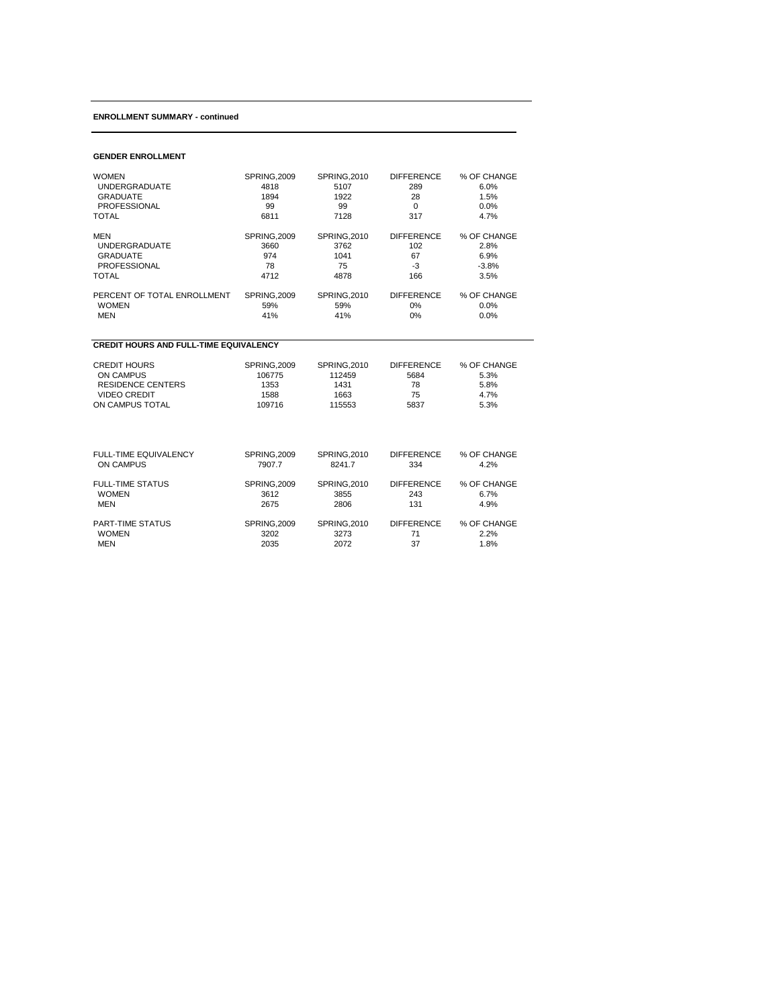## **ENROLLMENT SUMMARY - continued**

#### **GENDER ENROLLMENT**

| <b>WOMEN</b>                                  | SPRING, 2009        | <b>SPRING, 2010</b> | <b>DIFFERENCE</b> | % OF CHANGE |
|-----------------------------------------------|---------------------|---------------------|-------------------|-------------|
| <b>UNDERGRADUATE</b>                          | 4818                | 5107                | 289               | 6.0%        |
| <b>GRADUATE</b>                               | 1894                | 1922                | 28                | 1.5%        |
| <b>PROFESSIONAL</b>                           | 99                  | 99                  | $\mathbf 0$       | 0.0%        |
| <b>TOTAL</b>                                  | 6811                | 7128                | 317               | 4.7%        |
| <b>MEN</b>                                    | <b>SPRING, 2009</b> | <b>SPRING, 2010</b> | <b>DIFFERENCE</b> | % OF CHANGE |
| <b>UNDERGRADUATE</b>                          | 3660                | 3762                | 102               | 2.8%        |
| <b>GRADUATE</b>                               | 974                 | 1041                | 67                | 6.9%        |
| <b>PROFESSIONAL</b>                           | 78                  | 75                  | $-3$              | $-3.8%$     |
| <b>TOTAL</b>                                  | 4712                | 4878                | 166               | 3.5%        |
| PERCENT OF TOTAL ENROLLMENT                   | <b>SPRING, 2009</b> | <b>SPRING, 2010</b> | <b>DIFFERENCE</b> | % OF CHANGE |
| <b>WOMEN</b>                                  | 59%                 | 59%                 | 0%                | 0.0%        |
| <b>MEN</b>                                    | 41%                 | 41%                 | 0%                | 0.0%        |
| <b>CREDIT HOURS AND FULL-TIME EQUIVALENCY</b> |                     |                     |                   |             |
| <b>CREDIT HOURS</b>                           | <b>SPRING, 2009</b> | <b>SPRING, 2010</b> | <b>DIFFERENCE</b> | % OF CHANGE |
| <b>ON CAMPUS</b>                              | 106775              | 112459              | 5684              | 5.3%        |
| <b>RESIDENCE CENTERS</b>                      | 1353                | 1431                | 78                | 5.8%        |
| <b>VIDEO CREDIT</b>                           | 1588                | 1663                | 75                | 4.7%        |
| ON CAMPUS TOTAL                               | 109716              | 115553              | 5837              | 5.3%        |
| FULL-TIME EQUIVALENCY                         | <b>SPRING, 2009</b> | <b>SPRING, 2010</b> | <b>DIFFERENCE</b> | % OF CHANGE |
| <b>ON CAMPUS</b>                              | 7907.7              | 8241.7              | 334               | 4.2%        |
| <b>FULL-TIME STATUS</b>                       | <b>SPRING, 2009</b> | <b>SPRING, 2010</b> | <b>DIFFERENCE</b> | % OF CHANGE |
| <b>WOMEN</b>                                  | 3612                | 3855                | 243               | 6.7%        |
| <b>MEN</b>                                    | 2675                | 2806                | 131               | 4.9%        |
| PART-TIME STATUS                              | <b>SPRING, 2009</b> | <b>SPRING, 2010</b> | <b>DIFFERENCE</b> | % OF CHANGE |
| <b>WOMEN</b>                                  | 3202                | 3273                | 71                | 2.2%        |

MEN 2035 2072 37 1.8%